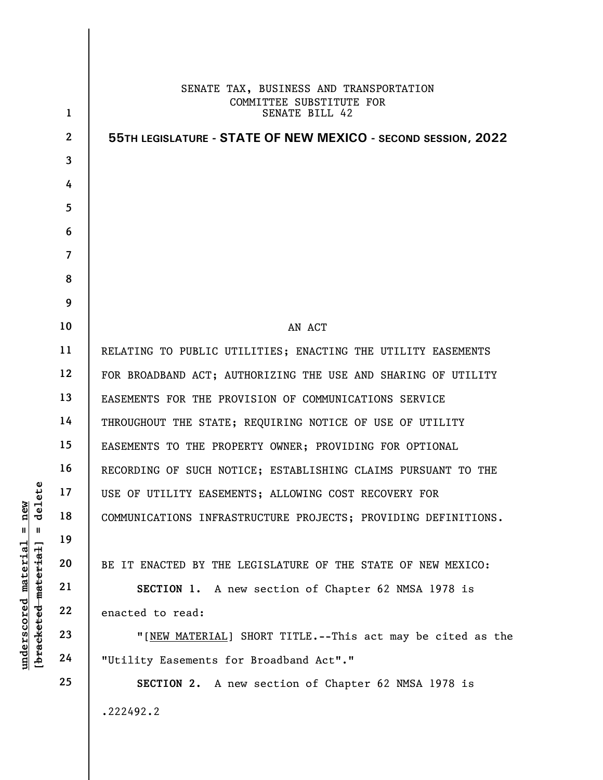|                                 |                | SENATE TAX, BUSINESS AND TRANSPORTATION                        |
|---------------------------------|----------------|----------------------------------------------------------------|
|                                 | $\mathbf{1}$   | COMMITTEE SUBSTITUTE FOR<br>SENATE BILL 42                     |
|                                 | $\mathbf{2}$   | 55TH LEGISLATURE - STATE OF NEW MEXICO - SECOND SESSION, 2022  |
|                                 | 3              |                                                                |
|                                 | 4              |                                                                |
|                                 | 5              |                                                                |
|                                 | 6              |                                                                |
|                                 | $\overline{7}$ |                                                                |
|                                 | 8              |                                                                |
|                                 | 9              |                                                                |
|                                 | 10             | AN ACT                                                         |
|                                 | 11             | RELATING TO PUBLIC UTILITIES; ENACTING THE UTILITY EASEMENTS   |
|                                 | 12             | FOR BROADBAND ACT; AUTHORIZING THE USE AND SHARING OF UTILITY  |
|                                 | 13             | EASEMENTS FOR THE PROVISION OF COMMUNICATIONS SERVICE          |
|                                 | 14             | THROUGHOUT THE STATE; REQUIRING NOTICE OF USE OF UTILITY       |
|                                 | 15             | EASEMENTS TO THE PROPERTY OWNER; PROVIDING FOR OPTIONAL        |
|                                 | 16             | RECORDING OF SUCH NOTICE; ESTABLISHING CLAIMS PURSUANT TO THE  |
| Ψ<br>δĪ                         | 17             | USE OF UTILITY EASEMENTS; ALLOWING COST RECOVERY FOR           |
| Ē<br>ರ<br>Ш<br>- 11             | 18             | COMMUNICATIONS INFRASTRUCTURE PROJECTS; PROVIDING DEFINITIONS. |
|                                 | 19             |                                                                |
| $\mathtt{material}$<br>material | 20             | BE IT ENACTED BY THE LEGISLATURE OF THE STATE OF NEW MEXICO:   |
| underscored<br>[bracketed       | 21             | SECTION 1.<br>A new section of Chapter 62 NMSA 1978 is         |
|                                 | 22             | enacted to read:                                               |
|                                 | 23             | "[NEW MATERIAL] SHORT TITLE.--This act may be cited as the     |
|                                 | 24             | "Utility Easements for Broadband Act"."                        |
|                                 | 25             | SECTION 2. A new section of Chapter 62 NMSA 1978 is            |
|                                 |                | .222492.2                                                      |
|                                 |                |                                                                |

 $\mathsf{l}$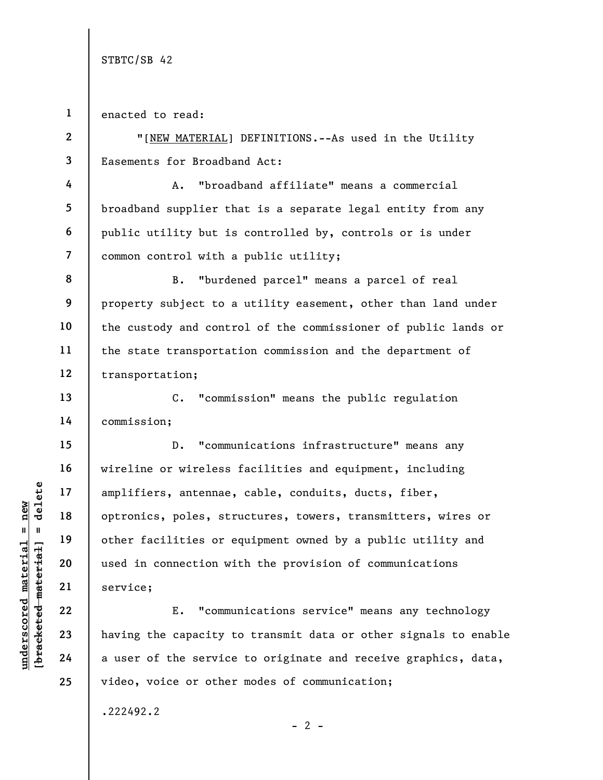1 enacted to read:

2

3

4

5

6

7

13

14

15

16

17

18

19

20

21

22

23

24

25

"[NEW MATERIAL] DEFINITIONS.--As used in the Utility Easements for Broadband Act:

A. "broadband affiliate" means a commercial broadband supplier that is a separate legal entity from any public utility but is controlled by, controls or is under common control with a public utility;

8 9 10 11 12 B. "burdened parcel" means a parcel of real property subject to a utility easement, other than land under the custody and control of the commissioner of public lands or the state transportation commission and the department of transportation;

C. "commission" means the public regulation commission;

under 17<br>
amplifiers, antennae,<br>
optronics, poles, stratennae,<br>
optronics, poles, stratennae,<br>
optronics, poles, stratennae,<br>
optronics, poles, stratennae,<br>
optronics, poles, stratennae,<br>
optronics, poles, stratennae,<br>
opt D. "communications infrastructure" means any wireline or wireless facilities and equipment, including amplifiers, antennae, cable, conduits, ducts, fiber, optronics, poles, structures, towers, transmitters, wires or other facilities or equipment owned by a public utility and used in connection with the provision of communications service;

E. "communications service" means any technology having the capacity to transmit data or other signals to enable a user of the service to originate and receive graphics, data, video, voice or other modes of communication;

 $- 2 -$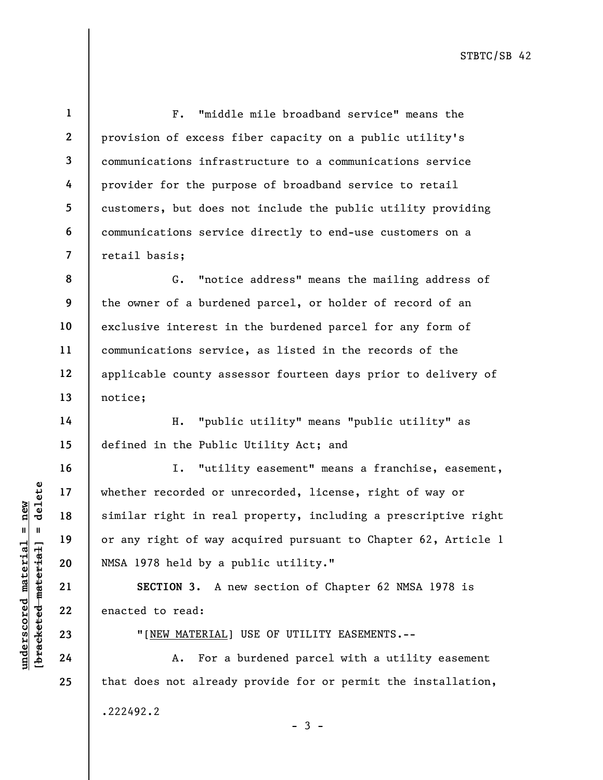1 2 3 4 5 6 7 F. "middle mile broadband service" means the provision of excess fiber capacity on a public utility's communications infrastructure to a communications service provider for the purpose of broadband service to retail customers, but does not include the public utility providing communications service directly to end-use customers on a retail basis;

8 9 10 11 12 13 G. "notice address" means the mailing address of the owner of a burdened parcel, or holder of record of an exclusive interest in the burdened parcel for any form of communications service, as listed in the records of the applicable county assessor fourteen days prior to delivery of notice;

H. "public utility" means "public utility" as defined in the Public Utility Act; and

UNE MATERIAL]<br>
understand material of way a<br>
understand of the similar right in real<br>
or any right of way a<br>
variable material or any right of way a<br>
21<br>
EU SECTION 3. A no<br>
22<br>
23<br>
TINEW MATERIAL]<br>
24<br>
A. For a I. "utility easement" means a franchise, easement, whether recorded or unrecorded, license, right of way or similar right in real property, including a prescriptive right or any right of way acquired pursuant to Chapter 62, Article 1 NMSA 1978 held by a public utility."

SECTION 3. A new section of Chapter 62 NMSA 1978 is enacted to read:

"[NEW MATERIAL] USE OF UTILITY EASEMENTS.--

A. For a burdened parcel with a utility easement that does not already provide for or permit the installation, .222492.2

24

14

15

16

17

18

19

20

21

22

23

25

- 3 -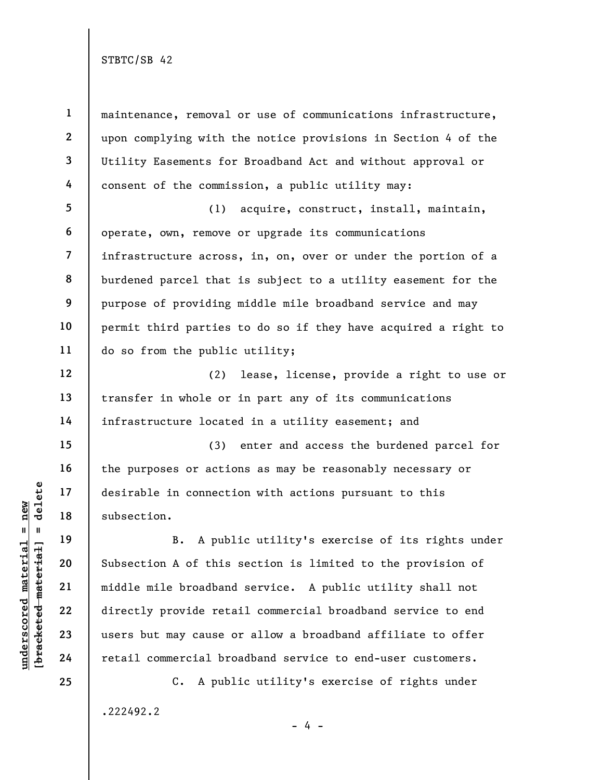underscored material = new [bracketed material] = delete 1 2 3 4 5 6 7 8 9 10 11 12 13 14 15 16 17 18 19 20 21 22 23 24 25 maintenance, removal or use of communications infrastructure, upon complying with the notice provisions in Section 4 of the Utility Easements for Broadband Act and without approval or consent of the commission, a public utility may: (1) acquire, construct, install, maintain, operate, own, remove or upgrade its communications infrastructure across, in, on, over or under the portion of a burdened parcel that is subject to a utility easement for the purpose of providing middle mile broadband service and may permit third parties to do so if they have acquired a right to do so from the public utility; (2) lease, license, provide a right to use or transfer in whole or in part any of its communications infrastructure located in a utility easement; and (3) enter and access the burdened parcel for the purposes or actions as may be reasonably necessary or desirable in connection with actions pursuant to this subsection. B. A public utility's exercise of its rights under Subsection A of this section is limited to the provision of middle mile broadband service. A public utility shall not directly provide retail commercial broadband service to end users but may cause or allow a broadband affiliate to offer retail commercial broadband service to end-user customers. C. A public utility's exercise of rights under

.222492.2

 $- 4 -$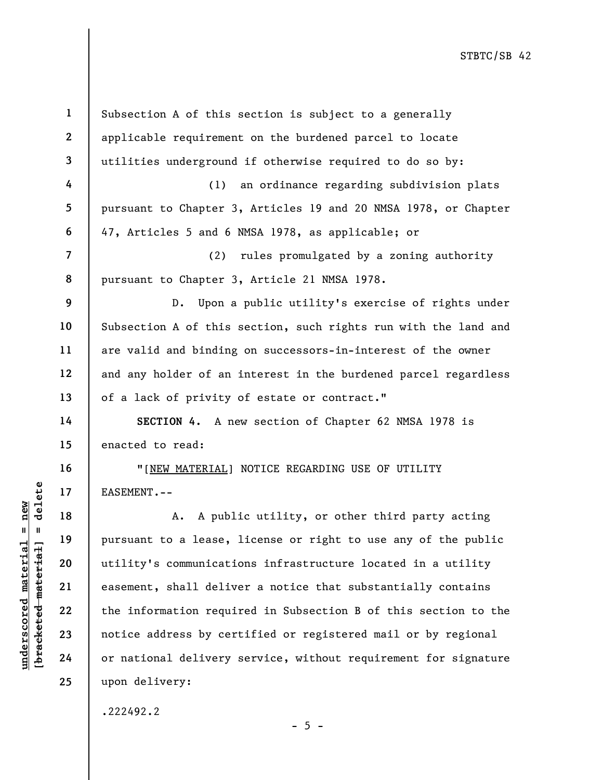underscored material = new [bracketed material] = delete 1 2 3 4 5 6 7 8 9 10 11 12 13 14 15 16 17 18 19 20 21 22 23 24 25 Subsection A of this section is subject to a generally applicable requirement on the burdened parcel to locate utilities underground if otherwise required to do so by: (1) an ordinance regarding subdivision plats pursuant to Chapter 3, Articles 19 and 20 NMSA 1978, or Chapter 47, Articles 5 and 6 NMSA 1978, as applicable; or (2) rules promulgated by a zoning authority pursuant to Chapter 3, Article 21 NMSA 1978. D. Upon a public utility's exercise of rights under Subsection A of this section, such rights run with the land and are valid and binding on successors-in-interest of the owner and any holder of an interest in the burdened parcel regardless of a lack of privity of estate or contract." SECTION 4. A new section of Chapter 62 NMSA 1978 is enacted to read: "[NEW MATERIAL] NOTICE REGARDING USE OF UTILITY EASEMENT.-- A. A public utility, or other third party acting pursuant to a lease, license or right to use any of the public utility's communications infrastructure located in a utility easement, shall deliver a notice that substantially contains the information required in Subsection B of this section to the notice address by certified or registered mail or by regional or national delivery service, without requirement for signature upon delivery:

.222492.2

 $- 5 -$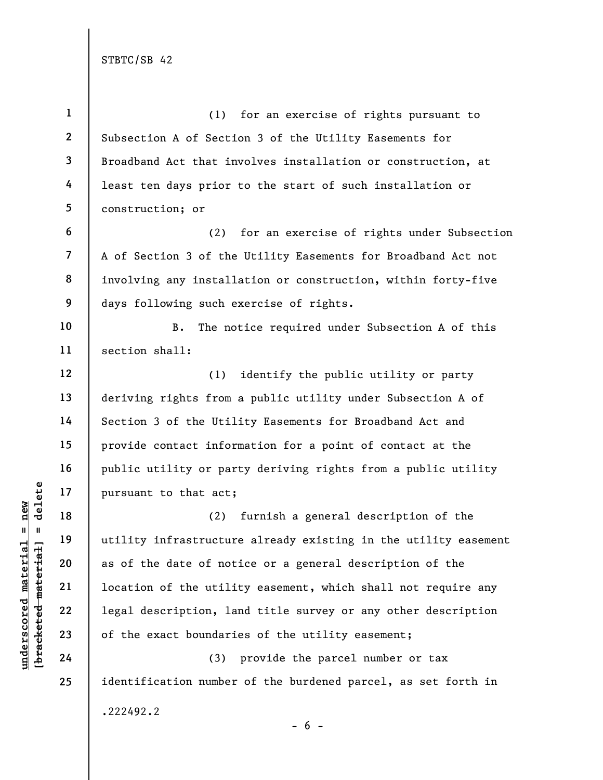underscored material = new [bracketed material] = delete 1 2 3 4 5 6 7 8 9 10 11 12 13 14 15 16 17 18 19 20 21 22 23 24 25 (1) for an exercise of rights pursuant to Subsection A of Section 3 of the Utility Easements for Broadband Act that involves installation or construction, at least ten days prior to the start of such installation or construction; or (2) for an exercise of rights under Subsection A of Section 3 of the Utility Easements for Broadband Act not involving any installation or construction, within forty-five days following such exercise of rights. B. The notice required under Subsection A of this section shall: (1) identify the public utility or party deriving rights from a public utility under Subsection A of Section 3 of the Utility Easements for Broadband Act and provide contact information for a point of contact at the public utility or party deriving rights from a public utility pursuant to that act; (2) furnish a general description of the utility infrastructure already existing in the utility easement as of the date of notice or a general description of the location of the utility easement, which shall not require any legal description, land title survey or any other description of the exact boundaries of the utility easement; (3) provide the parcel number or tax identification number of the burdened parcel, as set forth in .222492.2

 $- 6 -$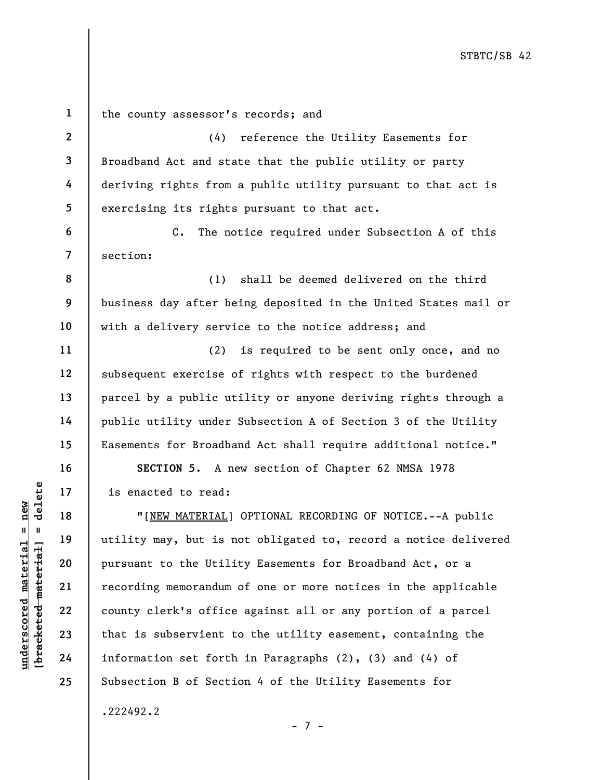under 17 is enacted to read:<br>
17 is enacted to read:<br>
18 "[NEW MATERIAL]<br>
19 utility may, but is n<br>
pursuant to the Utili<br>
recording memorandum<br>
22 county clerk's office<br>
23 that is subservient t<br>
24 information set forth 1 2 3 4 5 6 7 8 9 10 11 12 13 14 15 16 17 18 19 20 21 22 23 24 25 the county assessor's records; and (4) reference the Utility Easements for Broadband Act and state that the public utility or party deriving rights from a public utility pursuant to that act is exercising its rights pursuant to that act. C. The notice required under Subsection A of this section: (1) shall be deemed delivered on the third business day after being deposited in the United States mail or with a delivery service to the notice address; and (2) is required to be sent only once, and no subsequent exercise of rights with respect to the burdened parcel by a public utility or anyone deriving rights through a public utility under Subsection A of Section 3 of the Utility Easements for Broadband Act shall require additional notice." SECTION 5. A new section of Chapter 62 NMSA 1978 is enacted to read: "[NEW MATERIAL] OPTIONAL RECORDING OF NOTICE.--A public utility may, but is not obligated to, record a notice delivered pursuant to the Utility Easements for Broadband Act, or a recording memorandum of one or more notices in the applicable county clerk's office against all or any portion of a parcel that is subservient to the utility easement, containing the information set forth in Paragraphs (2), (3) and (4) of Subsection B of Section 4 of the Utility Easements for

.222492.2

- 7 -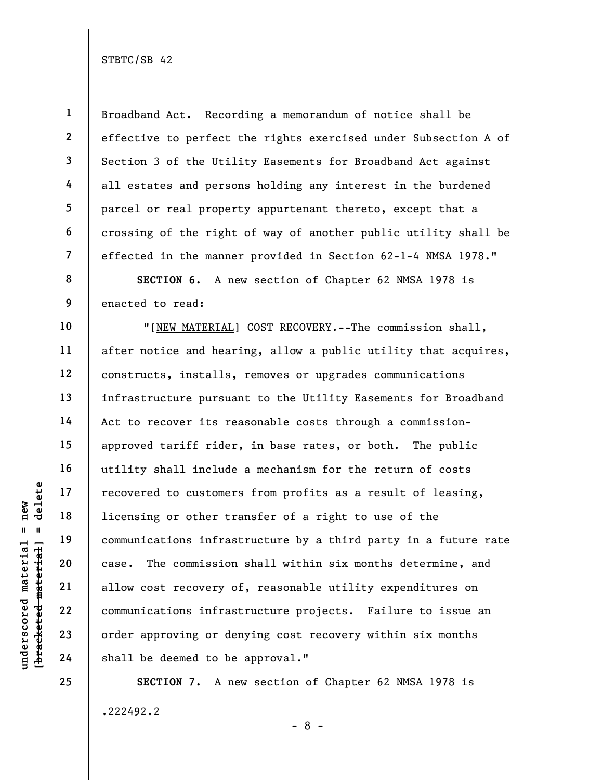underscored material = new [bracketed material] = delete 1 2 3 4 5 6 7 8 9 10 11 12 13 14 15 16 17 18 19 20 21 22 23 24 Broadband Act. Recording a memorandum of notice shall be effective to perfect the rights exercised under Subsection A of Section 3 of the Utility Easements for Broadband Act against all estates and persons holding any interest in the burdened parcel or real property appurtenant thereto, except that a crossing of the right of way of another public utility shall be effected in the manner provided in Section 62-1-4 NMSA 1978." SECTION 6. A new section of Chapter 62 NMSA 1978 is enacted to read: "[NEW MATERIAL] COST RECOVERY.--The commission shall, after notice and hearing, allow a public utility that acquires, constructs, installs, removes or upgrades communications infrastructure pursuant to the Utility Easements for Broadband Act to recover its reasonable costs through a commissionapproved tariff rider, in base rates, or both. The public utility shall include a mechanism for the return of costs recovered to customers from profits as a result of leasing, licensing or other transfer of a right to use of the communications infrastructure by a third party in a future rate case. The commission shall within six months determine, and allow cost recovery of, reasonable utility expenditures on communications infrastructure projects. Failure to issue an order approving or denying cost recovery within six months shall be deemed to be approval."

> SECTION 7. A new section of Chapter 62 NMSA 1978 is .222492.2 - 8 -

25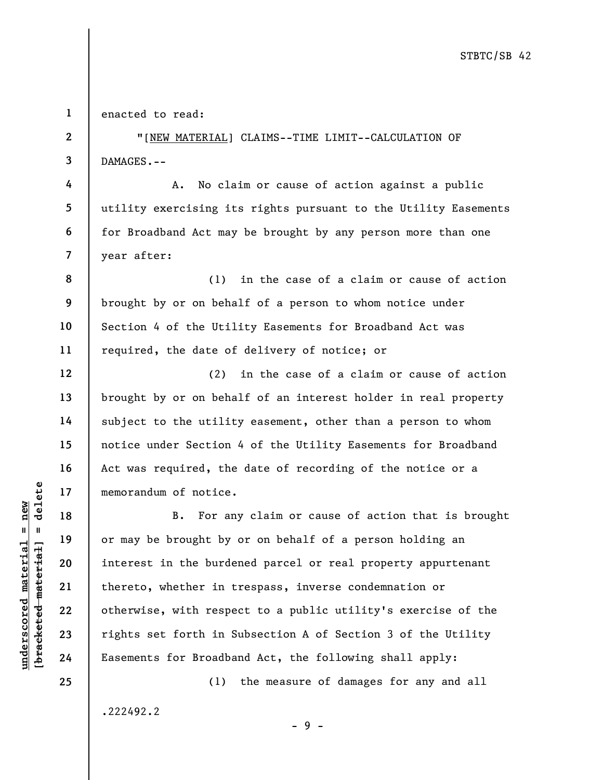1 enacted to read:

2

3

4

5

6

7

12

13

14

15

16

17

18

19

20

21

22

23

24

25

"[NEW MATERIAL] CLAIMS--TIME LIMIT--CALCULATION OF DAMAGES.--

A. No claim or cause of action against a public utility exercising its rights pursuant to the Utility Easements for Broadband Act may be brought by any person more than one year after:

8 9 10 11 (1) in the case of a claim or cause of action brought by or on behalf of a person to whom notice under Section 4 of the Utility Easements for Broadband Act was required, the date of delivery of notice; or

(2) in the case of a claim or cause of action brought by or on behalf of an interest holder in real property subject to the utility easement, other than a person to whom notice under Section 4 of the Utility Easements for Broadband Act was required, the date of recording of the notice or a memorandum of notice.

understanding of notice.<br>  $\begin{array}{c|c|c|c} \multicolumn{1}{c|}{\text{sub}} & \multicolumn{1}{c}{\text{sub}} & \multicolumn{1}{c}{\text{sub}} \\ \hline 1 & 1 & 1 & 19 & \multicolumn{1}{c}{\text{in}} \\ \hline 2 & 1 & 1 & 10 & \multicolumn{1}{c}{\text{in}} \\ \hline 3 & 2 & 1 & \multicolumn{1}{c}{\text{in}} \\ \hline 4 & 1 & 19 & \multicolumn{1}{c}{\text{in}} \\ \hline 5 & 10 & 10 & \multicolumn{$ B. For any claim or cause of action that is brought or may be brought by or on behalf of a person holding an interest in the burdened parcel or real property appurtenant thereto, whether in trespass, inverse condemnation or otherwise, with respect to a public utility's exercise of the rights set forth in Subsection A of Section 3 of the Utility Easements for Broadband Act, the following shall apply:

- 9 -

(1) the measure of damages for any and all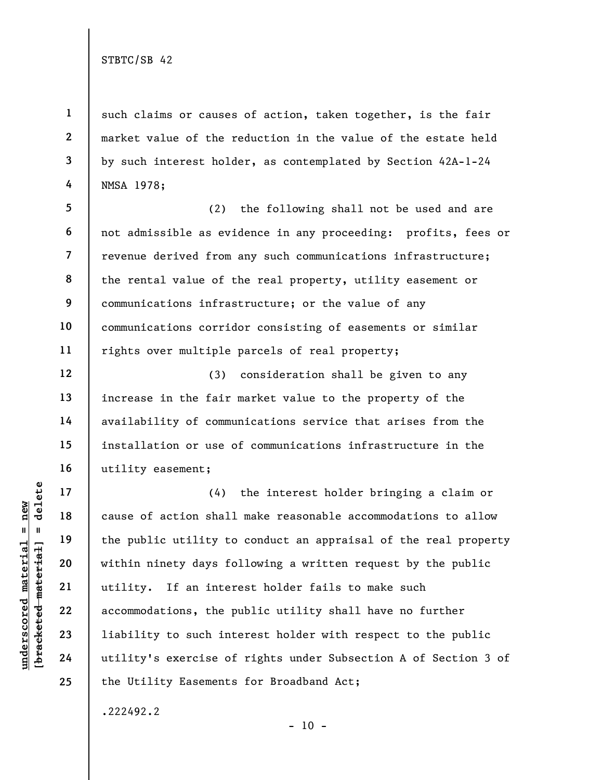1

2

3

4

12

13

14

15

16

17

18

19

20

21

22

23

24

25

such claims or causes of action, taken together, is the fair market value of the reduction in the value of the estate held by such interest holder, as contemplated by Section 42A-1-24 NMSA 1978;

5 6 7 8 9 10 11 (2) the following shall not be used and are not admissible as evidence in any proceeding: profits, fees or revenue derived from any such communications infrastructure; the rental value of the real property, utility easement or communications infrastructure; or the value of any communications corridor consisting of easements or similar rights over multiple parcels of real property;

(3) consideration shall be given to any increase in the fair market value to the property of the availability of communications service that arises from the installation or use of communications infrastructure in the utility easement;

underscored material material of action shall<br>  $\begin{array}{c|c|c|c} \hline \text{u} & \text{u} & \text{u} & \text{u} & \text{u} & \text{u} & \text{u} & \text{u} & \text{u} & \text{u} & \text{u} & \text{u} & \text{u} & \text{u} & \text{u} & \text{u} & \text{u} & \text{u} & \text{u} & \text{u} & \text{u} & \text{u} & \text{u} & \text{u} & \text{u} & \text{u} & \text$ (4) the interest holder bringing a claim or cause of action shall make reasonable accommodations to allow the public utility to conduct an appraisal of the real property within ninety days following a written request by the public utility. If an interest holder fails to make such accommodations, the public utility shall have no further liability to such interest holder with respect to the public utility's exercise of rights under Subsection A of Section 3 of the Utility Easements for Broadband Act;

 $- 10 -$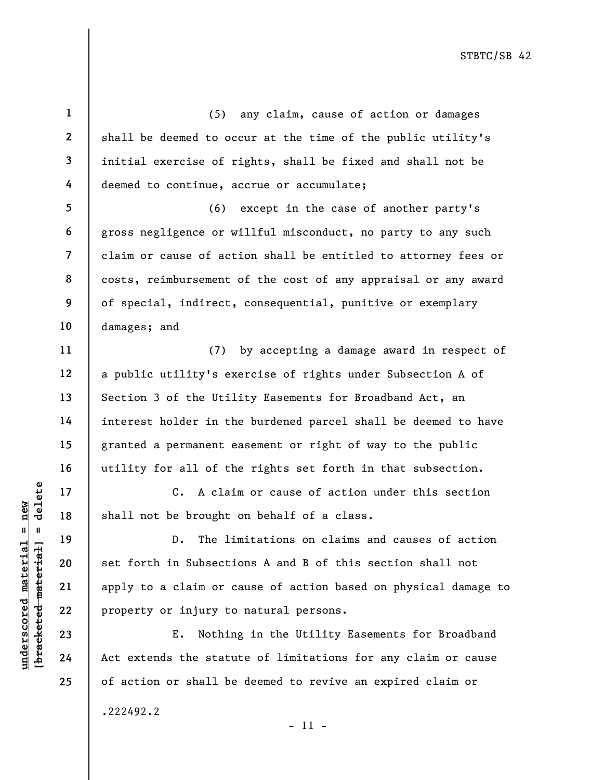UN DEN 17<br>
UN DEN 18<br>
UN DEN 19<br>
UN DEN 19<br>
UN DEN 19<br>
UN DEN 19<br>
UN DEN 19<br>
UN DEN 19<br>
UN DEN 19<br>
UN DEN 19<br>
DEN 19<br>
DEN 19<br>
DEN 19<br>
DEN 19<br>
DEN 19<br>
DEN 19<br>
DEN 19<br>
DEN 19<br>
DEN 19<br>
DEN 19<br>
DEN 19<br>
DEN 19<br>
DEN 19<br>
DEN 19<br> 1 2 3 4 5 6 7 8 9 10 11 12 13 14 15 16 17 18 19 20 21 22 23 24 25 (5) any claim, cause of action or damages shall be deemed to occur at the time of the public utility's initial exercise of rights, shall be fixed and shall not be deemed to continue, accrue or accumulate; (6) except in the case of another party's gross negligence or willful misconduct, no party to any such claim or cause of action shall be entitled to attorney fees or costs, reimbursement of the cost of any appraisal or any award of special, indirect, consequential, punitive or exemplary damages; and (7) by accepting a damage award in respect of a public utility's exercise of rights under Subsection A of Section 3 of the Utility Easements for Broadband Act, an interest holder in the burdened parcel shall be deemed to have granted a permanent easement or right of way to the public utility for all of the rights set forth in that subsection. C. A claim or cause of action under this section shall not be brought on behalf of a class. D. The limitations on claims and causes of action set forth in Subsections A and B of this section shall not apply to a claim or cause of action based on physical damage to property or injury to natural persons. E. Nothing in the Utility Easements for Broadband Act extends the statute of limitations for any claim or cause of action or shall be deemed to revive an expired claim or .222492.2

- 11 -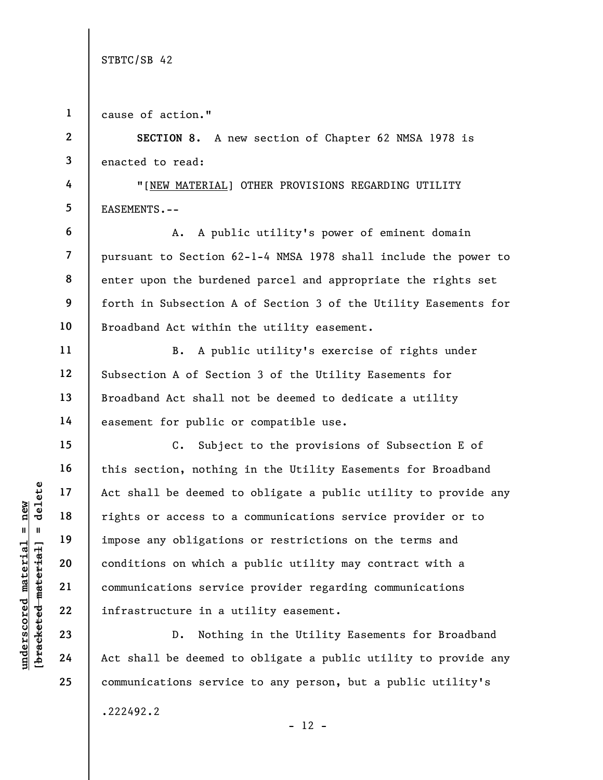1 cause of action."

underscored material = new [bracketed material] = delete 2 3 4 5 6 7 8 9 10 11 12 13 14 15 16 17 18 19 20 21 22 SECTION 8. A new section of Chapter 62 NMSA 1978 is enacted to read: "[NEW MATERIAL] OTHER PROVISIONS REGARDING UTILITY EASEMENTS.-- A. A public utility's power of eminent domain pursuant to Section 62-1-4 NMSA 1978 shall include the power to enter upon the burdened parcel and appropriate the rights set forth in Subsection A of Section 3 of the Utility Easements for Broadband Act within the utility easement. B. A public utility's exercise of rights under Subsection A of Section 3 of the Utility Easements for Broadband Act shall not be deemed to dedicate a utility easement for public or compatible use. C. Subject to the provisions of Subsection E of this section, nothing in the Utility Easements for Broadband Act shall be deemed to obligate a public utility to provide any rights or access to a communications service provider or to impose any obligations or restrictions on the terms and conditions on which a public utility may contract with a communications service provider regarding communications infrastructure in a utility easement.

D. Nothing in the Utility Easements for Broadband Act shall be deemed to obligate a public utility to provide any communications service to any person, but a public utility's

 $- 12 -$ 

.222492.2

23

24

25